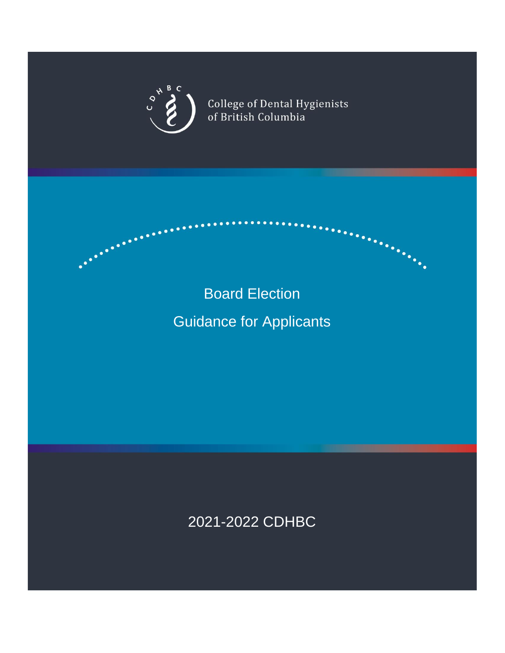

**Constitution** 

College of Dental Hygienists<br>of British Columbia

an Santanggunda<br>Kabupatèn Santanggunda

# Board Election

# Guidance for Applicants

# 2021-2022 CDHBC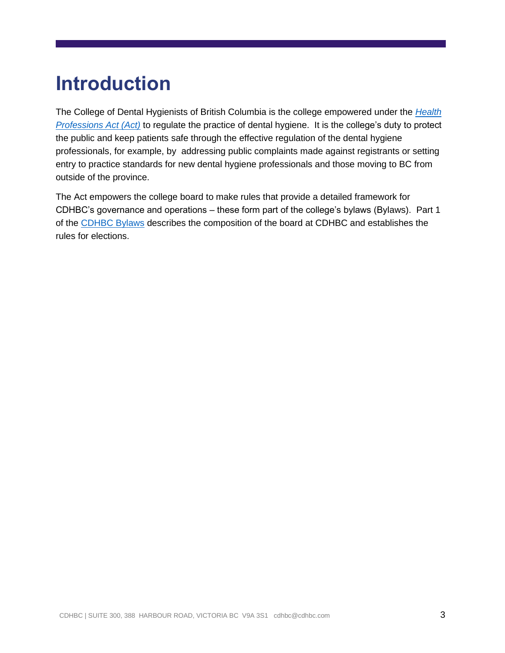# **Introduction**

The College of Dental Hygienists of British Columbia is the college empowered under the *[Health](http://www.bclaws.ca/civix/document/id/complete/statreg/96183_01)  [Professions Act \(Act\)](http://www.bclaws.ca/civix/document/id/complete/statreg/96183_01)* to regulate the practice of dental hygiene. It is the college's duty to protect the public and keep patients safe through the effective regulation of the dental hygiene professionals, for example, by addressing public complaints made against registrants or setting entry to practice standards for new dental hygiene professionals and those moving to BC from outside of the province.

The Act empowers the college board to make rules that provide a detailed framework for CDHBC's governance and operations – these form part of the college's bylaws (Bylaws). Part 1 of the [CDHBC Bylaws](https://www.cdhbc.com/Practice-Resources/Regulation-and-Bylaws/Bylaws/Part-I-Board-of-the-College.aspx) describes the composition of the board at CDHBC and establishes the rules for elections.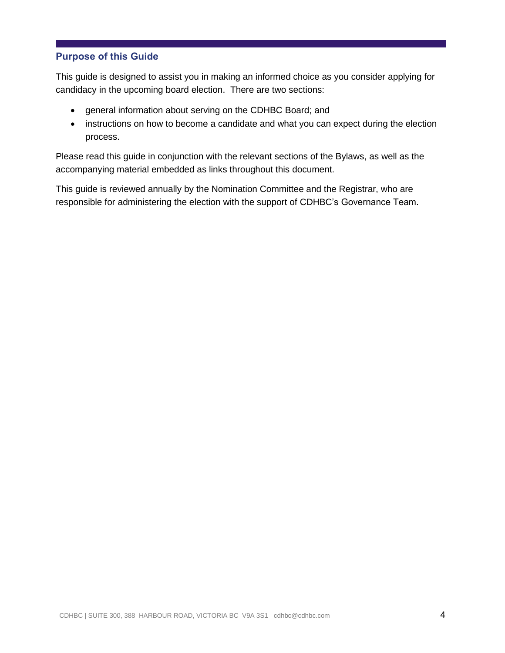# **Purpose of this Guide**

This guide is designed to assist you in making an informed choice as you consider applying for candidacy in the upcoming board election. There are two sections:

- general information about serving on the CDHBC Board; and
- instructions on how to become a candidate and what you can expect during the election process.

Please read this guide in conjunction with the relevant sections of the Bylaws, as well as the accompanying material embedded as links throughout this document.

This guide is reviewed annually by the Nomination Committee and the Registrar, who are responsible for administering the election with the support of CDHBC's Governance Team.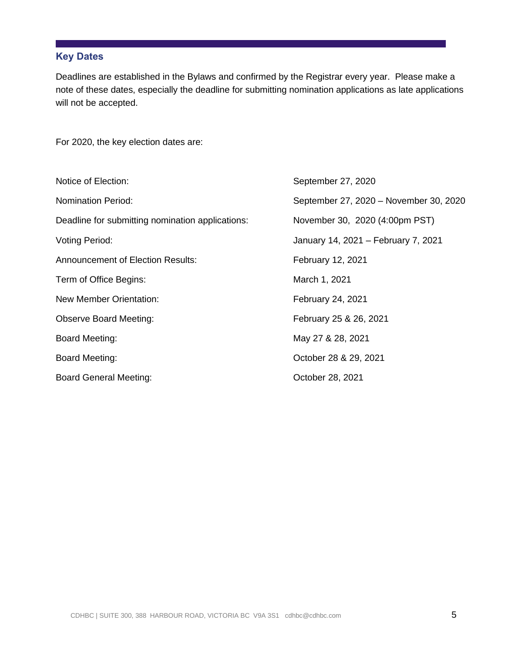# **Key Dates**

Deadlines are established in the Bylaws and confirmed by the Registrar every year. Please make a note of these dates, especially the deadline for submitting nomination applications as late applications will not be accepted.

For 2020, the key election dates are:

| Notice of Election:                              | September 27, 2020                     |
|--------------------------------------------------|----------------------------------------|
| <b>Nomination Period:</b>                        | September 27, 2020 - November 30, 2020 |
| Deadline for submitting nomination applications: | November 30, 2020 (4:00pm PST)         |
| <b>Voting Period:</b>                            | January 14, 2021 – February 7, 2021    |
| <b>Announcement of Election Results:</b>         | February 12, 2021                      |
| Term of Office Begins:                           | March 1, 2021                          |
| New Member Orientation:                          | February 24, 2021                      |
| <b>Observe Board Meeting:</b>                    | February 25 & 26, 2021                 |
| <b>Board Meeting:</b>                            | May 27 & 28, 2021                      |
| <b>Board Meeting:</b>                            | October 28 & 29, 2021                  |
| <b>Board General Meeting:</b>                    | October 28, 2021                       |
|                                                  |                                        |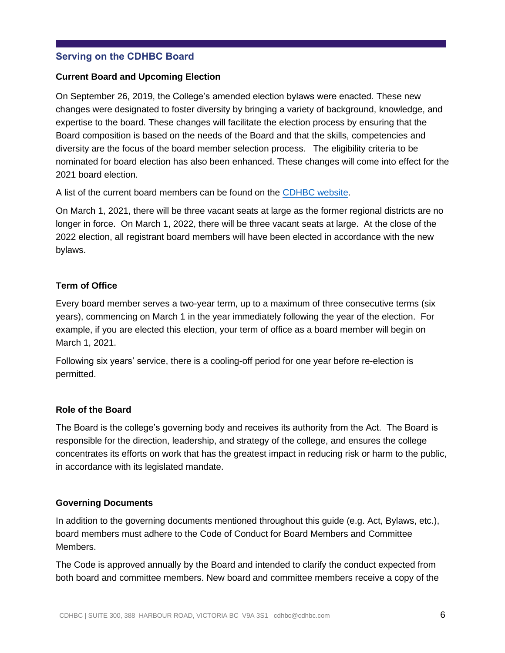# **Serving on the CDHBC Board**

#### **Current Board and Upcoming Election**

On September 26, 2019, the College's amended election bylaws were enacted. These new changes were designated to foster diversity by bringing a variety of background, knowledge, and expertise to the board. These changes will facilitate the election process by ensuring that the Board composition is based on the needs of the Board and that the skills, competencies and diversity are the focus of the board member selection process. The eligibility criteria to be nominated for board election has also been enhanced. These changes will come into effect for the 2021 board election.

A list of the current board members can be found on the [CDHBC](https://www.cdhbc.com/About-CDHBC/Board-of-Directors.aspx) website.

On March 1, 2021, there will be three vacant seats at large as the former regional districts are no longer in force. On March 1, 2022, there will be three vacant seats at large. At the close of the 2022 election, all registrant board members will have been elected in accordance with the new bylaws.

### **Term of Office**

Every board member serves a two-year term, up to a maximum of three consecutive terms (six years), commencing on March 1 in the year immediately following the year of the election. For example, if you are elected this election, your term of office as a board member will begin on March 1, 2021.

Following six years' service, there is a cooling-off period for one year before re-election is permitted.

#### **Role of the Board**

The Board is the college's governing body and receives its authority from the Act. The Board is responsible for the direction, leadership, and strategy of the college, and ensures the college concentrates its efforts on work that has the greatest impact in reducing risk or harm to the public, in accordance with its legislated mandate.

### **Governing Documents**

In addition to the governing documents mentioned throughout this guide (e.g. Act, Bylaws, etc.), board members must adhere to the Code of Conduct for Board Members and Committee Members.

The Code is approved annually by the Board and intended to clarify the conduct expected from both board and committee members. New board and committee members receive a copy of the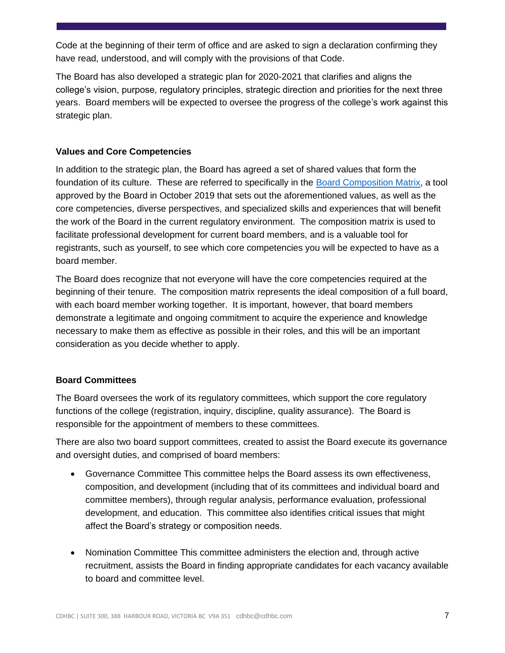Code at the beginning of their term of office and are asked to sign a declaration confirming they have read, understood, and will comply with the provisions of that Code.

The Board has also developed a strategic plan for 2020-2021 that clarifies and aligns the college's vision, purpose, regulatory principles, strategic direction and priorities for the next three years. Board members will be expected to oversee the progress of the college's work against this strategic plan.

# **Values and Core Competencies**

In addition to the strategic plan, the Board has agreed a set of shared values that form the foundation of its culture. These are referred to specifically in the [Board Composition Matrix,](https://www.cdhbc.com/About-CDHBC/Board-of-Directors/2021-2022-Board-Election/Matrix-Table.aspx) a tool approved by the Board in October 2019 that sets out the aforementioned values, as well as the core competencies, diverse perspectives, and specialized skills and experiences that will benefit the work of the Board in the current regulatory environment. The composition matrix is used to facilitate professional development for current board members, and is a valuable tool for registrants, such as yourself, to see which core competencies you will be expected to have as a board member.

The Board does recognize that not everyone will have the core competencies required at the beginning of their tenure. The composition matrix represents the ideal composition of a full board, with each board member working together. It is important, however, that board members demonstrate a legitimate and ongoing commitment to acquire the experience and knowledge necessary to make them as effective as possible in their roles, and this will be an important consideration as you decide whether to apply.

# **Board Committees**

The Board oversees the work of its regulatory committees, which support the core regulatory functions of the college (registration, inquiry, discipline, quality assurance). The Board is responsible for the appointment of members to these committees.

There are also two board support committees, created to assist the Board execute its governance and oversight duties, and comprised of board members:

- Governance Committee This committee helps the Board assess its own effectiveness, composition, and development (including that of its committees and individual board and committee members), through regular analysis, performance evaluation, professional development, and education. This committee also identifies critical issues that might affect the Board's strategy or composition needs.
- Nomination Committee This committee administers the election and, through active recruitment, assists the Board in finding appropriate candidates for each vacancy available to board and committee level.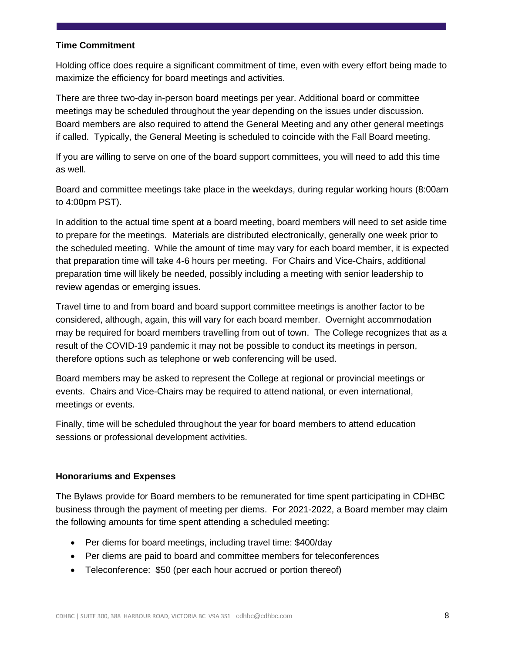#### **Time Commitment**

Holding office does require a significant commitment of time, even with every effort being made to maximize the efficiency for board meetings and activities.

There are three two-day in-person board meetings per year. Additional board or committee meetings may be scheduled throughout the year depending on the issues under discussion. Board members are also required to attend the General Meeting and any other general meetings if called. Typically, the General Meeting is scheduled to coincide with the Fall Board meeting.

If you are willing to serve on one of the board support committees, you will need to add this time as well.

Board and committee meetings take place in the weekdays, during regular working hours (8:00am to 4:00pm PST).

In addition to the actual time spent at a board meeting, board members will need to set aside time to prepare for the meetings. Materials are distributed electronically, generally one week prior to the scheduled meeting. While the amount of time may vary for each board member, it is expected that preparation time will take 4-6 hours per meeting. For Chairs and Vice-Chairs, additional preparation time will likely be needed, possibly including a meeting with senior leadership to review agendas or emerging issues.

Travel time to and from board and board support committee meetings is another factor to be considered, although, again, this will vary for each board member. Overnight accommodation may be required for board members travelling from out of town. The College recognizes that as a result of the COVID-19 pandemic it may not be possible to conduct its meetings in person, therefore options such as telephone or web conferencing will be used.

Board members may be asked to represent the College at regional or provincial meetings or events. Chairs and Vice-Chairs may be required to attend national, or even international, meetings or events.

Finally, time will be scheduled throughout the year for board members to attend education sessions or professional development activities.

### **Honorariums and Expenses**

The Bylaws provide for Board members to be remunerated for time spent participating in CDHBC business through the payment of meeting per diems. For 2021-2022, a Board member may claim the following amounts for time spent attending a scheduled meeting:

- Per diems for board meetings, including travel time: \$400/day
- Per diems are paid to board and committee members for teleconferences
- Teleconference: \$50 (per each hour accrued or portion thereof)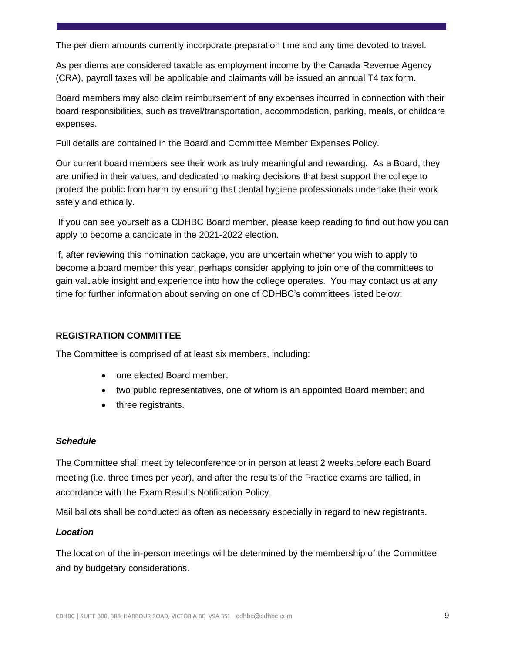The per diem amounts currently incorporate preparation time and any time devoted to travel.

As per diems are considered taxable as employment income by the Canada Revenue Agency (CRA), payroll taxes will be applicable and claimants will be issued an annual T4 tax form.

Board members may also claim reimbursement of any expenses incurred in connection with their board responsibilities, such as travel/transportation, accommodation, parking, meals, or childcare expenses.

Full details are contained in the Board and Committee Member Expenses Policy.

Our current board members see their work as truly meaningful and rewarding. As a Board, they are unified in their values, and dedicated to making decisions that best support the college to protect the public from harm by ensuring that dental hygiene professionals undertake their work safely and ethically.

If you can see yourself as a CDHBC Board member, please keep reading to find out how you can apply to become a candidate in the 2021-2022 election.

If, after reviewing this nomination package, you are uncertain whether you wish to apply to become a board member this year, perhaps consider applying to join one of the committees to gain valuable insight and experience into how the college operates. You may contact us at any time for further information about serving on one of CDHBC's committees listed below:

# **REGISTRATION COMMITTEE**

The Committee is comprised of at least six members, including:

- one elected Board member;
- two public representatives, one of whom is an appointed Board member; and
- three registrants.

### *Schedule*

The Committee shall meet by teleconference or in person at least 2 weeks before each Board meeting (i.e. three times per year), and after the results of the Practice exams are tallied, in accordance with the Exam Results Notification Policy.

Mail ballots shall be conducted as often as necessary especially in regard to new registrants.

### *Location*

The location of the in-person meetings will be determined by the membership of the Committee and by budgetary considerations.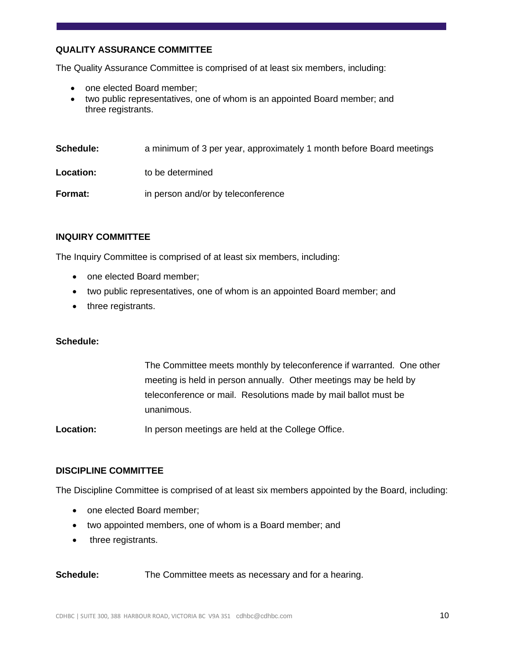# **QUALITY ASSURANCE COMMITTEE**

The Quality Assurance Committee is comprised of at least six members, including:

- one elected Board member;
- two public representatives, one of whom is an appointed Board member; and three registrants.

| <b>Schedule:</b> | a minimum of 3 per year, approximately 1 month before Board meetings |
|------------------|----------------------------------------------------------------------|
| Location:        | to be determined                                                     |
| Format:          | in person and/or by teleconference                                   |

#### **INQUIRY COMMITTEE**

The Inquiry Committee is comprised of at least six members, including:

- one elected Board member;
- two public representatives, one of whom is an appointed Board member; and
- three registrants.

#### **Schedule:**

The Committee meets monthly by teleconference if warranted. One other meeting is held in person annually. Other meetings may be held by teleconference or mail. Resolutions made by mail ballot must be unanimous.

Location: In person meetings are held at the College Office.

#### **DISCIPLINE COMMITTEE**

The Discipline Committee is comprised of at least six members appointed by the Board, including:

- one elected Board member;
- two appointed members, one of whom is a Board member; and
- three registrants.

**Schedule:** The Committee meets as necessary and for a hearing.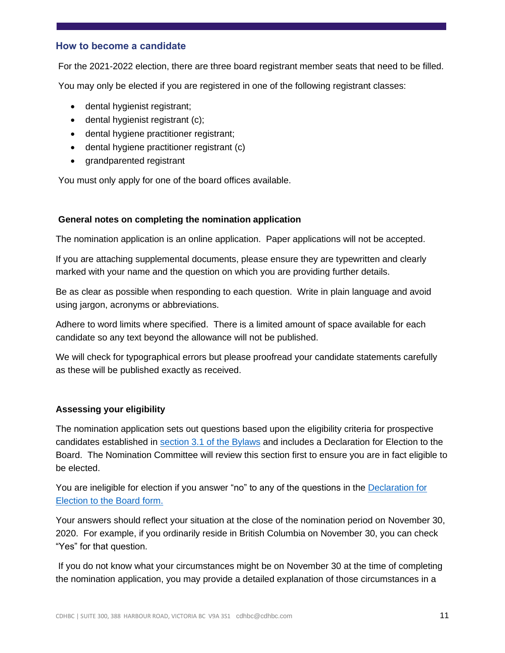# **How to become a candidate**

For the 2021-2022 election, there are three board registrant member seats that need to be filled.

You may only be elected if you are registered in one of the following registrant classes:

- dental hygienist registrant;
- dental hygienist registrant (c);
- dental hygiene practitioner registrant;
- dental hygiene practitioner registrant (c)
- grandparented registrant

You must only apply for one of the board offices available.

#### **General notes on completing the nomination application**

The nomination application is an online application. Paper applications will not be accepted.

If you are attaching supplemental documents, please ensure they are typewritten and clearly marked with your name and the question on which you are providing further details.

Be as clear as possible when responding to each question. Write in plain language and avoid using jargon, acronyms or abbreviations.

Adhere to word limits where specified. There is a limited amount of space available for each candidate so any text beyond the allowance will not be published.

We will check for typographical errors but please proofread your candidate statements carefully as these will be published exactly as received.

### **Assessing your eligibility**

The nomination application sets out questions based upon the eligibility criteria for prospective candidates established in section 3.1 [of the Bylaws](https://www.cdhbc.com/Practice-Resources/Regulation-and-Bylaws/Bylaws/Part-I-Board-of-the-College.aspx) and includes a Declaration for Election to the Board. The Nomination Committee will review this section first to ensure you are in fact eligible to be elected.

You are ineligible for election if you answer "no" to any of the questions in the [Declaration for](https://www.cdhbc.com/About-CDHBC/Board-of-Directors/2021-2022-Board-Election/Sch-B-Nomination-Form-2021-2022.aspx)  [Election to the Board form.](https://www.cdhbc.com/About-CDHBC/Board-of-Directors/2021-2022-Board-Election/Sch-B-Nomination-Form-2021-2022.aspx)

Your answers should reflect your situation at the close of the nomination period on November 30, 2020. For example, if you ordinarily reside in British Columbia on November 30, you can check "Yes" for that question.

If you do not know what your circumstances might be on November 30 at the time of completing the nomination application, you may provide a detailed explanation of those circumstances in a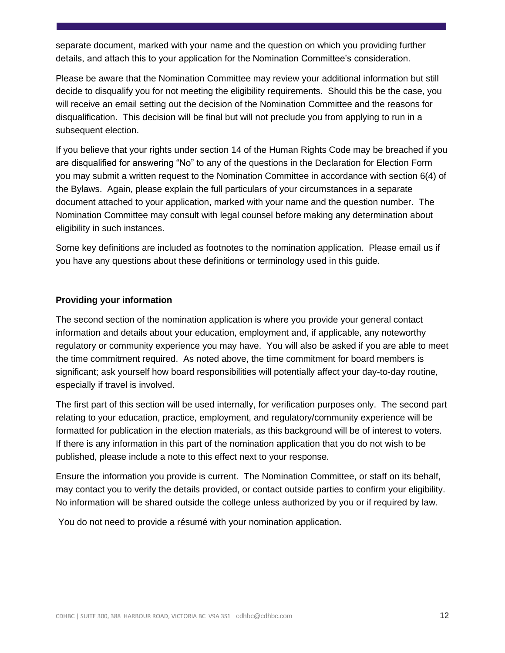separate document, marked with your name and the question on which you providing further details, and attach this to your application for the Nomination Committee's consideration.

Please be aware that the Nomination Committee may review your additional information but still decide to disqualify you for not meeting the eligibility requirements. Should this be the case, you will receive an email setting out the decision of the Nomination Committee and the reasons for disqualification. This decision will be final but will not preclude you from applying to run in a subsequent election.

If you believe that your rights under section 14 of the Human Rights Code may be breached if you are disqualified for answering "No" to any of the questions in the Declaration for Election Form you may submit a written request to the Nomination Committee in accordance with section 6(4) of the Bylaws. Again, please explain the full particulars of your circumstances in a separate document attached to your application, marked with your name and the question number. The Nomination Committee may consult with legal counsel before making any determination about eligibility in such instances.

Some key definitions are included as footnotes to the nomination application. Please email us if you have any questions about these definitions or terminology used in this guide.

### **Providing your information**

The second section of the nomination application is where you provide your general contact information and details about your education, employment and, if applicable, any noteworthy regulatory or community experience you may have. You will also be asked if you are able to meet the time commitment required. As noted above, the time commitment for board members is significant; ask yourself how board responsibilities will potentially affect your day-to-day routine, especially if travel is involved.

The first part of this section will be used internally, for verification purposes only. The second part relating to your education, practice, employment, and regulatory/community experience will be formatted for publication in the election materials, as this background will be of interest to voters. If there is any information in this part of the nomination application that you do not wish to be published, please include a note to this effect next to your response.

Ensure the information you provide is current. The Nomination Committee, or staff on its behalf, may contact you to verify the details provided, or contact outside parties to confirm your eligibility. No information will be shared outside the college unless authorized by you or if required by law.

You do not need to provide a résumé with your nomination application.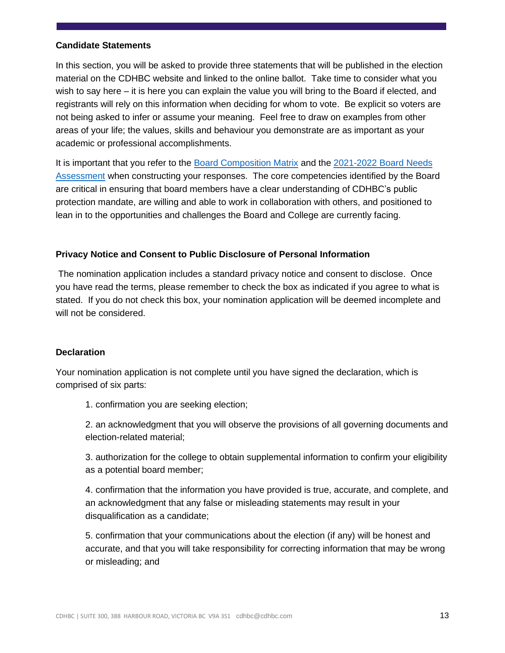#### **Candidate Statements**

In this section, you will be asked to provide three statements that will be published in the election material on the CDHBC website and linked to the online ballot. Take time to consider what you wish to say here – it is here you can explain the value you will bring to the Board if elected, and registrants will rely on this information when deciding for whom to vote. Be explicit so voters are not being asked to infer or assume your meaning. Feel free to draw on examples from other areas of your life; the values, skills and behaviour you demonstrate are as important as your academic or professional accomplishments.

It is important that you refer to the [Board Composition Matrix](https://www.cdhbc.com/About-CDHBC/Board-of-Directors/2021-2022-Board-Election/Matrix-Table.aspx) and the 2021-2022 [Board Needs](https://www.cdhbc.com/About-CDHBC/Board-of-Directors/2021-2022-Board-Election/Needs-Assessment.aspx) [Assessment](https://www.cdhbc.com/About-CDHBC/Board-of-Directors/2021-2022-Board-Election/Needs-Assessment.aspx) when constructing your responses. The core competencies identified by the Board are critical in ensuring that board members have a clear understanding of CDHBC's public protection mandate, are willing and able to work in collaboration with others, and positioned to lean in to the opportunities and challenges the Board and College are currently facing.

### **Privacy Notice and Consent to Public Disclosure of Personal Information**

The nomination application includes a standard privacy notice and consent to disclose. Once you have read the terms, please remember to check the box as indicated if you agree to what is stated. If you do not check this box, your nomination application will be deemed incomplete and will not be considered.

#### **Declaration**

Your nomination application is not complete until you have signed the declaration, which is comprised of six parts:

1. confirmation you are seeking election;

2. an acknowledgment that you will observe the provisions of all governing documents and election-related material;

3. authorization for the college to obtain supplemental information to confirm your eligibility as a potential board member;

4. confirmation that the information you have provided is true, accurate, and complete, and an acknowledgment that any false or misleading statements may result in your disqualification as a candidate;

5. confirmation that your communications about the election (if any) will be honest and accurate, and that you will take responsibility for correcting information that may be wrong or misleading; and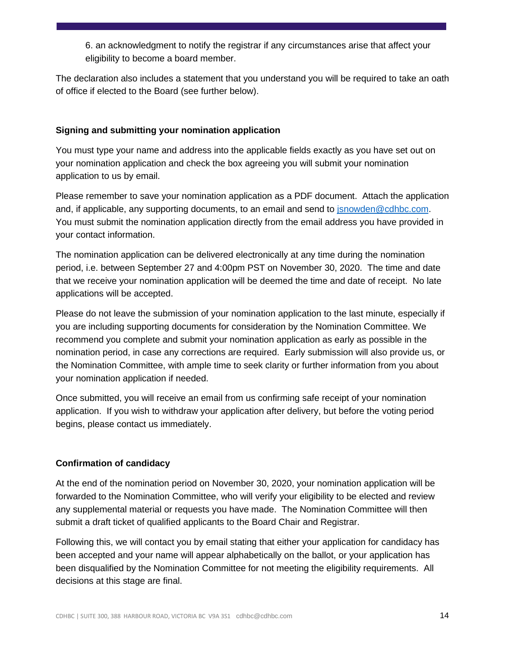6. an acknowledgment to notify the registrar if any circumstances arise that affect your eligibility to become a board member.

The declaration also includes a statement that you understand you will be required to take an oath of office if elected to the Board (see further below).

# **Signing and submitting your nomination application**

You must type your name and address into the applicable fields exactly as you have set out on your nomination application and check the box agreeing you will submit your nomination application to us by email.

Please remember to save your nomination application as a PDF document. Attach the application and, if applicable, any supporting documents, to an email and send to [jsnowden@cdhbc.com.](mailto:jsnowden@cdhbc.com) You must submit the nomination application directly from the email address you have provided in your contact information.

The nomination application can be delivered electronically at any time during the nomination period, i.e. between September 27 and 4:00pm PST on November 30, 2020. The time and date that we receive your nomination application will be deemed the time and date of receipt. No late applications will be accepted.

Please do not leave the submission of your nomination application to the last minute, especially if you are including supporting documents for consideration by the Nomination Committee. We recommend you complete and submit your nomination application as early as possible in the nomination period, in case any corrections are required. Early submission will also provide us, or the Nomination Committee, with ample time to seek clarity or further information from you about your nomination application if needed.

Once submitted, you will receive an email from us confirming safe receipt of your nomination application. If you wish to withdraw your application after delivery, but before the voting period begins, please contact us immediately.

# **Confirmation of candidacy**

At the end of the nomination period on November 30, 2020, your nomination application will be forwarded to the Nomination Committee, who will verify your eligibility to be elected and review any supplemental material or requests you have made. The Nomination Committee will then submit a draft ticket of qualified applicants to the Board Chair and Registrar.

Following this, we will contact you by email stating that either your application for candidacy has been accepted and your name will appear alphabetically on the ballot, or your application has been disqualified by the Nomination Committee for not meeting the eligibility requirements. All decisions at this stage are final.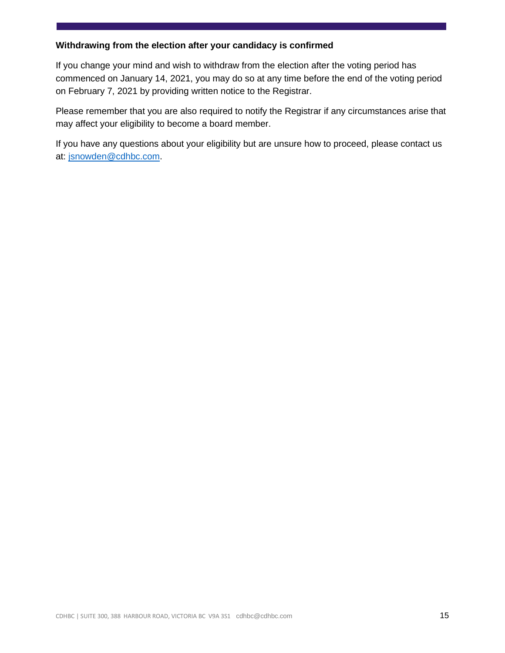# **Withdrawing from the election after your candidacy is confirmed**

If you change your mind and wish to withdraw from the election after the voting period has commenced on January 14, 2021, you may do so at any time before the end of the voting period on February 7, 2021 by providing written notice to the Registrar.

Please remember that you are also required to notify the Registrar if any circumstances arise that may affect your eligibility to become a board member.

If you have any questions about your eligibility but are unsure how to proceed, please contact us at: [jsnowden@cdhbc.com.](mailto:jsnowden@cdhbc.com)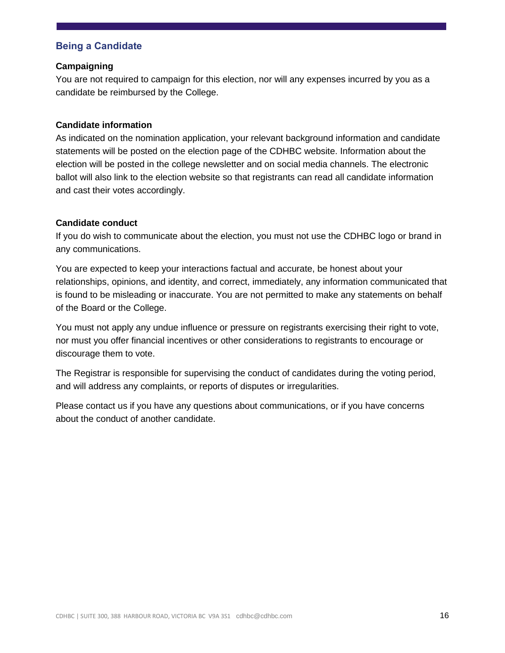# **Being a Candidate**

#### **Campaigning**

You are not required to campaign for this election, nor will any expenses incurred by you as a candidate be reimbursed by the College.

#### **Candidate information**

As indicated on the nomination application, your relevant background information and candidate statements will be posted on the election page of the CDHBC website. Information about the election will be posted in the college newsletter and on social media channels. The electronic ballot will also link to the election website so that registrants can read all candidate information and cast their votes accordingly.

#### **Candidate conduct**

If you do wish to communicate about the election, you must not use the CDHBC logo or brand in any communications.

You are expected to keep your interactions factual and accurate, be honest about your relationships, opinions, and identity, and correct, immediately, any information communicated that is found to be misleading or inaccurate. You are not permitted to make any statements on behalf of the Board or the College.

You must not apply any undue influence or pressure on registrants exercising their right to vote, nor must you offer financial incentives or other considerations to registrants to encourage or discourage them to vote.

The Registrar is responsible for supervising the conduct of candidates during the voting period, and will address any complaints, or reports of disputes or irregularities.

Please contact us if you have any questions about communications, or if you have concerns about the conduct of another candidate.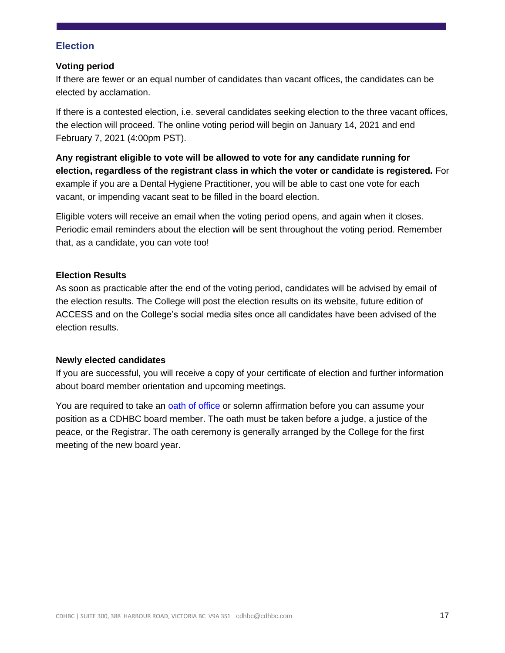# **Election**

#### **Voting period**

If there are fewer or an equal number of candidates than vacant offices, the candidates can be elected by acclamation.

If there is a contested election, i.e. several candidates seeking election to the three vacant offices, the election will proceed. The online voting period will begin on January 14, 2021 and end February 7, 2021 (4:00pm PST).

**Any registrant eligible to vote will be allowed to vote for any candidate running for election, regardless of the registrant class in which the voter or candidate is registered.** For example if you are a Dental Hygiene Practitioner, you will be able to cast one vote for each vacant, or impending vacant seat to be filled in the board election.

Eligible voters will receive an email when the voting period opens, and again when it closes. Periodic email reminders about the election will be sent throughout the voting period. Remember that, as a candidate, you can vote too!

#### **Election Results**

As soon as practicable after the end of the voting period, candidates will be advised by email of the election results. The College will post the election results on its website, future edition of ACCESS and on the College's social media sites once all candidates have been advised of the election results.

#### **Newly elected candidates**

If you are successful, you will receive a copy of your certificate of election and further information about board member orientation and upcoming meetings.

You are required to take an oath of office or solemn affirmation before you can assume your position as a CDHBC board member. The oath must be taken before a judge, a justice of the peace, or the Registrar. The oath ceremony is generally arranged by the College for the first meeting of the new board year.